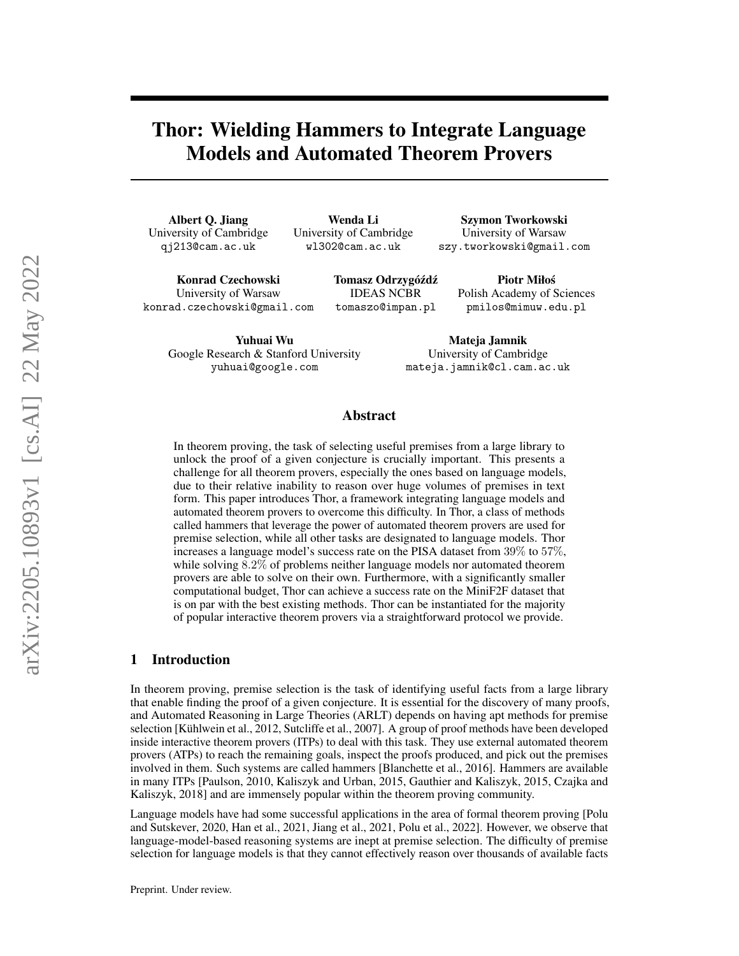# Thor: Wielding Hammers to Integrate Language Models and Automated Theorem Provers

Albert Q. Jiang University of Cambridge qj213@cam.ac.uk

Wenda Li University of Cambridge wl302@cam.ac.uk

Szymon Tworkowski University of Warsaw szy.tworkowski@gmail.com

Piotr Miłos´

Konrad Czechowski University of Warsaw konrad.czechowski@gmail.com Tomasz Odrzygóźdź IDEAS NCBR tomaszo@impan.pl

Yuhuai Wu Google Research & Stanford University yuhuai@google.com

Polish Academy of Sciences pmilos@mimuw.edu.pl

Mateja Jamnik University of Cambridge mateja.jamnik@cl.cam.ac.uk

# Abstract

In theorem proving, the task of selecting useful premises from a large library to unlock the proof of a given conjecture is crucially important. This presents a challenge for all theorem provers, especially the ones based on language models, due to their relative inability to reason over huge volumes of premises in text form. This paper introduces Thor, a framework integrating language models and automated theorem provers to overcome this difficulty. In Thor, a class of methods called hammers that leverage the power of automated theorem provers are used for premise selection, while all other tasks are designated to language models. Thor increases a language model's success rate on the PISA dataset from 39% to 57%, while solving 8.2% of problems neither language models nor automated theorem provers are able to solve on their own. Furthermore, with a significantly smaller computational budget, Thor can achieve a success rate on the MiniF2F dataset that is on par with the best existing methods. Thor can be instantiated for the majority of popular interactive theorem provers via a straightforward protocol we provide.

# 1 Introduction

In theorem proving, premise selection is the task of identifying useful facts from a large library that enable finding the proof of a given conjecture. It is essential for the discovery of many proofs, and Automated Reasoning in Large Theories (ARLT) depends on having apt methods for premise selection [\[Kühlwein et al., 2012,](#page-10-0) [Sutcliffe et al., 2007\]](#page-11-0). A group of proof methods have been developed inside interactive theorem provers (ITPs) to deal with this task. They use external automated theorem provers (ATPs) to reach the remaining goals, inspect the proofs produced, and pick out the premises involved in them. Such systems are called hammers [\[Blanchette et al., 2016\]](#page-9-0). Hammers are available in many ITPs [\[Paulson, 2010,](#page-10-1) [Kaliszyk and Urban, 2015,](#page-10-2) [Gauthier and Kaliszyk, 2015,](#page-9-1) [Czajka and](#page-9-2) [Kaliszyk, 2018\]](#page-9-2) and are immensely popular within the theorem proving community.

Language models have had some successful applications in the area of formal theorem proving [\[Polu](#page-10-3) [and Sutskever, 2020,](#page-10-3) [Han et al., 2021,](#page-9-3) [Jiang et al., 2021,](#page-10-4) [Polu et al., 2022\]](#page-10-5). However, we observe that language-model-based reasoning systems are inept at premise selection. The difficulty of premise selection for language models is that they cannot effectively reason over thousands of available facts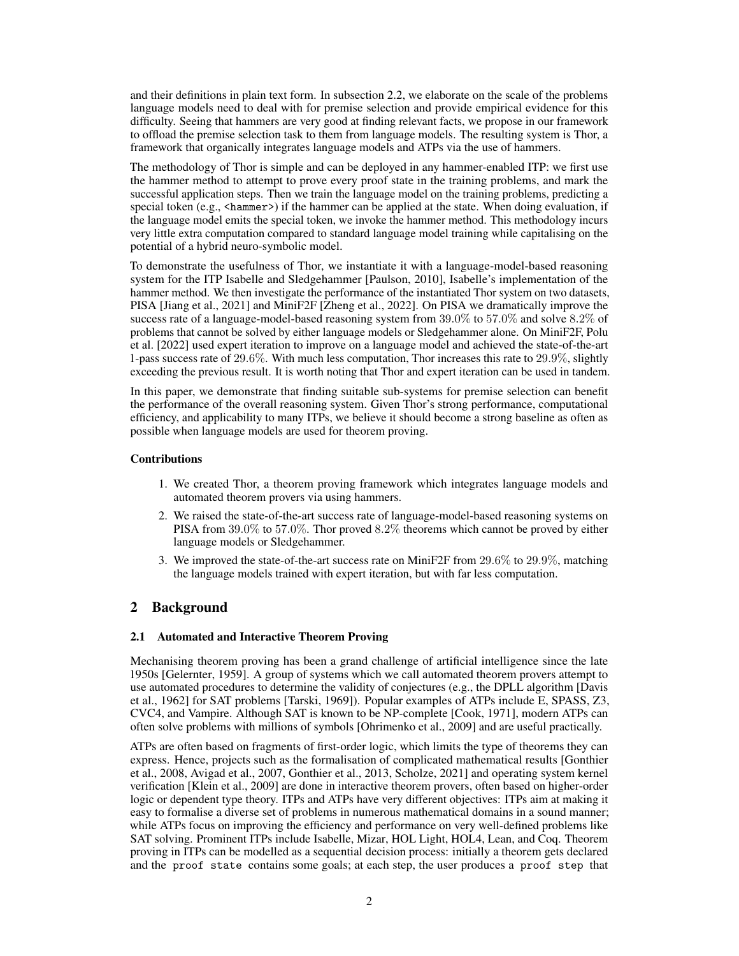and their definitions in plain text form. In subsection [2.2,](#page-2-0) we elaborate on the scale of the problems language models need to deal with for premise selection and provide empirical evidence for this difficulty. Seeing that hammers are very good at finding relevant facts, we propose in our framework to offload the premise selection task to them from language models. The resulting system is Thor, a framework that organically integrates language models and ATPs via the use of hammers.

The methodology of Thor is simple and can be deployed in any hammer-enabled ITP: we first use the hammer method to attempt to prove every proof state in the training problems, and mark the successful application steps. Then we train the language model on the training problems, predicting a special token  $(e.g., \text{~chammer>})$  if the hammer can be applied at the state. When doing evaluation, if the language model emits the special token, we invoke the hammer method. This methodology incurs very little extra computation compared to standard language model training while capitalising on the potential of a hybrid neuro-symbolic model.

To demonstrate the usefulness of Thor, we instantiate it with a language-model-based reasoning system for the ITP Isabelle and Sledgehammer [\[Paulson, 2010\]](#page-10-1), Isabelle's implementation of the hammer method. We then investigate the performance of the instantiated Thor system on two datasets, PISA [\[Jiang et al., 2021\]](#page-10-4) and MiniF2F [\[Zheng et al., 2022\]](#page-11-1). On PISA we dramatically improve the success rate of a language-model-based reasoning system from 39.0% to 57.0% and solve 8.2% of problems that cannot be solved by either language models or Sledgehammer alone. On MiniF2F, [Polu](#page-10-5) [et al.](#page-10-5) [\[2022\]](#page-10-5) used expert iteration to improve on a language model and achieved the state-of-the-art 1-pass success rate of 29.6%. With much less computation, Thor increases this rate to 29.9%, slightly exceeding the previous result. It is worth noting that Thor and expert iteration can be used in tandem.

In this paper, we demonstrate that finding suitable sub-systems for premise selection can benefit the performance of the overall reasoning system. Given Thor's strong performance, computational efficiency, and applicability to many ITPs, we believe it should become a strong baseline as often as possible when language models are used for theorem proving.

#### Contributions

- 1. We created Thor, a theorem proving framework which integrates language models and automated theorem provers via using hammers.
- 2. We raised the state-of-the-art success rate of language-model-based reasoning systems on PISA from 39.0% to 57.0%. Thor proved 8.2% theorems which cannot be proved by either language models or Sledgehammer.
- 3. We improved the state-of-the-art success rate on MiniF2F from 29.6% to 29.9%, matching the language models trained with expert iteration, but with far less computation.

# <span id="page-1-0"></span>2 Background

#### 2.1 Automated and Interactive Theorem Proving

Mechanising theorem proving has been a grand challenge of artificial intelligence since the late 1950s [\[Gelernter, 1959\]](#page-9-4). A group of systems which we call automated theorem provers attempt to use automated procedures to determine the validity of conjectures (e.g., the DPLL algorithm [\[Davis](#page-9-5) [et al., 1962\]](#page-9-5) for SAT problems [\[Tarski, 1969\]](#page-11-2)). Popular examples of ATPs include [E,](https://wwwlehre.dhbw-stuttgart.de/~sschulz/E/E.html) [SPASS,](http://www.spass-prover.org) [Z3,](https://github.com/Z3Prover/z3) [CVC4,](https://cvc4.github.io) and [Vampire.](https://vprover.github.io) Although SAT is known to be NP-complete [\[Cook, 1971\]](#page-9-6), modern ATPs can often solve problems with millions of symbols [\[Ohrimenko et al., 2009\]](#page-10-6) and are useful practically.

ATPs are often based on fragments of first-order logic, which limits the type of theorems they can express. Hence, projects such as the formalisation of complicated mathematical results [\[Gonthier](#page-9-7) [et al., 2008,](#page-9-7) [Avigad et al., 2007,](#page-9-8) [Gonthier et al., 2013,](#page-9-9) [Scholze, 2021\]](#page-10-7) and operating system kernel verification [\[Klein et al., 2009\]](#page-10-8) are done in interactive theorem provers, often based on higher-order logic or dependent type theory. ITPs and ATPs have very different objectives: ITPs aim at making it easy to formalise a diverse set of problems in numerous mathematical domains in a sound manner; while ATPs focus on improving the efficiency and performance on very well-defined problems like SAT solving. Prominent ITPs include [Isabelle,](https://www.cl.cam.ac.uk/research/hvg/Isabelle/) [Mizar,](http://mizar.org) [HOL Light,](https://www.cl.cam.ac.uk/~jrh13/hol-light/) [HOL4,](https://hol-theorem-prover.org) [Lean,](https://leanprover.github.io) and [Coq.](https://coq.inria.fr) Theorem proving in ITPs can be modelled as a sequential decision process: initially a theorem gets declared and the proof state contains some goals; at each step, the user produces a proof step that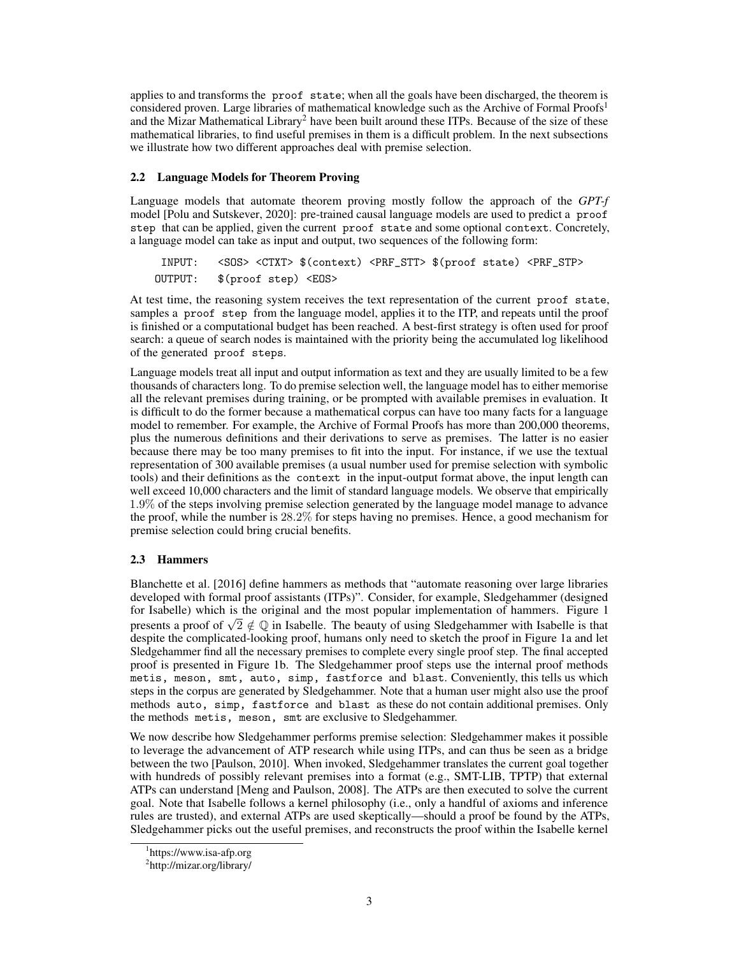applies to and transforms the proof state; when all the goals have been discharged, the theorem is considered proven. Large libraries of mathematical knowledge such as the Archive of Formal Proofs<sup>[1](#page-2-1)</sup> and the Mizar Mathematical Library<sup>[2](#page-2-2)</sup> have been built around these ITPs. Because of the size of these mathematical libraries, to find useful premises in them is a difficult problem. In the next subsections we illustrate how two different approaches deal with premise selection.

#### <span id="page-2-0"></span>2.2 Language Models for Theorem Proving

Language models that automate theorem proving mostly follow the approach of the *GPT-f* model [\[Polu and Sutskever, 2020\]](#page-10-3): pre-trained causal language models are used to predict a proof step that can be applied, given the current proof state and some optional context. Concretely, a language model can take as input and output, two sequences of the following form:

INPUT: <SOS> <CTXT> \$(context) <PRF\_STT> \$(proof state) <PRF\_STP> OUTPUT: \$(proof step) <EOS>

At test time, the reasoning system receives the text representation of the current proof state, samples a proof step from the language model, applies it to the ITP, and repeats until the proof is finished or a computational budget has been reached. A best-first strategy is often used for proof search: a queue of search nodes is maintained with the priority being the accumulated log likelihood of the generated proof steps.

Language models treat all input and output information as text and they are usually limited to be a few thousands of characters long. To do premise selection well, the language model has to either memorise all the relevant premises during training, or be prompted with available premises in evaluation. It is difficult to do the former because a mathematical corpus can have too many facts for a language model to remember. For example, the Archive of Formal Proofs has more than 200,000 theorems, plus the numerous definitions and their derivations to serve as premises. The latter is no easier because there may be too many premises to fit into the input. For instance, if we use the textual representation of 300 available premises (a usual number used for premise selection with symbolic tools) and their definitions as the context in the input-output format above, the input length can well exceed 10,000 characters and the limit of standard language models. We observe that empirically 1.9% of the steps involving premise selection generated by the language model manage to advance the proof, while the number is 28.2% for steps having no premises. Hence, a good mechanism for premise selection could bring crucial benefits.

## <span id="page-2-3"></span>2.3 Hammers

[Blanchette et al.](#page-9-0) [\[2016\]](#page-9-0) define hammers as methods that "automate reasoning over large libraries developed with formal proof assistants (ITPs)". Consider, for example, Sledgehammer (designed for Isabelle) which is the original and the most popular implementation of hammers. Figure [1](#page-3-0) For isabelie) which is the original and the most popular implementation of naminers. Figure 1 presents a proof of  $\sqrt{2} \notin \mathbb{Q}$  in Isabelle. The beauty of using Sledgehammer with Isabelle is that despite the complicated-looking proof, humans only need to sketch the proof in Figure [1a](#page-3-0) and let Sledgehammer find all the necessary premises to complete every single proof step. The final accepted proof is presented in Figure [1b.](#page-3-0) The Sledgehammer proof steps use the internal proof methods metis, meson, smt, auto, simp, fastforce and blast. Conveniently, this tells us which steps in the corpus are generated by Sledgehammer. Note that a human user might also use the proof methods auto, simp, fastforce and blast as these do not contain additional premises. Only the methods metis, meson, smt are exclusive to Sledgehammer.

We now describe how Sledgehammer performs premise selection: Sledgehammer makes it possible to leverage the advancement of ATP research while using ITPs, and can thus be seen as a bridge between the two [\[Paulson, 2010\]](#page-10-1). When invoked, Sledgehammer translates the current goal together with hundreds of possibly relevant premises into a format (e.g., SMT-LIB, TPTP) that external ATPs can understand [\[Meng and Paulson, 2008\]](#page-10-9). The ATPs are then executed to solve the current goal. Note that Isabelle follows a kernel philosophy (i.e., only a handful of axioms and inference rules are trusted), and external ATPs are used skeptically—should a proof be found by the ATPs, Sledgehammer picks out the useful premises, and reconstructs the proof within the Isabelle kernel

<span id="page-2-1"></span><sup>1</sup> <https://www.isa-afp.org>

<span id="page-2-2"></span><sup>&</sup>lt;sup>2</sup><http://mizar.org/library/>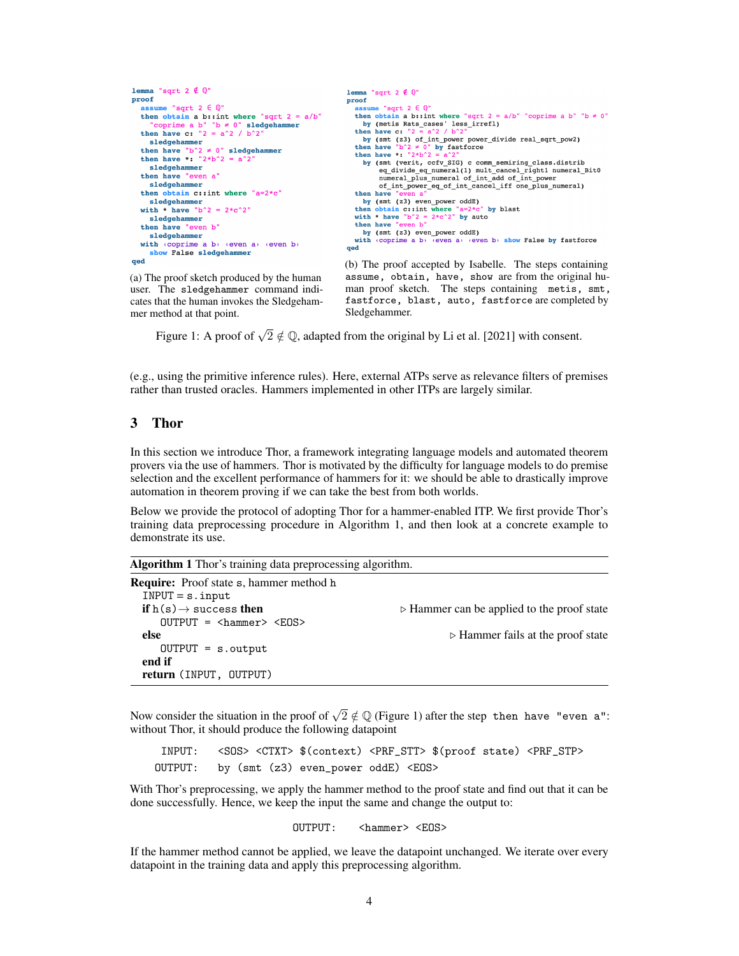```
lemma "sqrt 2 \notin 0"
                                                                      lemma "sqrt 2 \notin Q"
proof
                                                                      proof
    { \text{ssume} } "sqrt 2 \in \mathbb{Q}^nassume "sqrt 2 \in \mathbb{Q}^nthen obtain a b::int where "sqrt 2 = a/b"
                                                                         then obtain a b::int where "sqrt 2 = a/b" "coprime a b" "b \neq 0"
                                                                           by (metis Rats_cases' less_irrefl)<br>hen have c: "2 = a^2/ b^2"
                          "b \neq 0" sledgehammer
       coprime a b"
                                                                         then have c: '
   then have c: "2 = a^2 / b^2by (smt (z3) of int power power_divide real_sqrt_pow2)
     sledgehammer
                                                                         then have "b^2 \neq 0" by fastforce<br>then have *: "2*b^2 = a^2"
  then have "b^2 \neq 0" sledgehammer
   then have *: "2*b^2 = a^2by (smt (verit, ccfv_SIG) c comm_semiring_class.distrib
     sledgehammer
                                                                                 eq_divide_eq_numeral(1) mult_cancel_right1 numeral_Bit0<br>numeral_plus_numeral (1) mult_cancel_right1 numeral_Bit0<br>numeral_plus_numeral of_int_add of_int_power
   then have "even a
     sledgehammer
                                                                                 of_int_power_eq_of_int_cancel_iff one_plus_numeral)
  then obtain c:: int where "a=2*c"
                                                                         then have
                                                                         then nave even a<br>by (smt (z3) even power oddE)<br>then obtain c::int where "a=2*c" by blast<br>with * have "b^2 = 2*c^2" by auto<br>then have "aven b"
     sledgehammer
  with * have "b^2 = 2*c^2"
     sledgehammer
   then have "even b
                                                                         then have
                                                                           by (smt (z3) even_power oddE)
     sledgehammer
                                                                         with \overline{\text{coprime}} a b) \overline{\text{even}} a) \overline{\text{even}} b) show False by fastforce
  with \langle \text{coprime a b} \rangle (even a) (even b)
                                                                      qed
     show False sledgehammer
qed
                                                                      (b) The proof accepted by Isabelle. The steps containing
```
(a) The proof sketch produced by the human user. The sledgehammer command indicates that the human invokes the Sledgehammer method at that point.

assume, obtain, have, show are from the original human proof sketch. The steps containing metis, smt, fastforce, blast, auto, fastforce are completed by Sledgehammer.

Figure 1: A proof of  $\sqrt{2} \notin \mathbb{Q}$ , adapted from the original by [Li et al.](#page-10-10) [\[2021\]](#page-10-10) with consent.

(e.g., using the primitive inference rules). Here, external ATPs serve as relevance filters of premises rather than trusted oracles. Hammers implemented in other ITPs are largely similar.

## <span id="page-3-2"></span>3 Thor

In this section we introduce Thor, a framework integrating language models and automated theorem provers via the use of hammers. Thor is motivated by the difficulty for language models to do premise selection and the excellent performance of hammers for it: we should be able to drastically improve automation in theorem proving if we can take the best from both worlds.

Below we provide the protocol of adopting Thor for a hammer-enabled ITP. We first provide Thor's training data preprocessing procedure in Algorithm [1,](#page-3-1) and then look at a concrete example to demonstrate its use.

<span id="page-3-1"></span>Algorithm 1 Thor's training data preprocessing algorithm.

| <b>Require:</b> Proof state s, hammer method h |                                                           |
|------------------------------------------------|-----------------------------------------------------------|
| $INPUT = s.input$                              |                                                           |
| if $h(s) \rightarrow$ success then             | $\triangleright$ Hammer can be applied to the proof state |
| $OUTPUT =  <EDS$                               |                                                           |
| else                                           | $\triangleright$ Hammer fails at the proof state          |
| $OUTPUT = s.output$                            |                                                           |
| end if                                         |                                                           |
| return (INPUT, OUTPUT)                         |                                                           |

Now consider the situation in the proof of  $\sqrt{2} \notin \mathbb{Q}$  (Figure [1\)](#page-3-0) after the step then have "even a": without Thor, it should produce the following datapoint

INPUT: <SOS> <CTXT> \$(context) <PRF\_STT> \$(proof state) <PRF\_STP> OUTPUT: by (smt (z3) even\_power oddE) <EOS>

With Thor's preprocessing, we apply the hammer method to the proof state and find out that it can be done successfully. Hence, we keep the input the same and change the output to:

OUTPUT: <hammer> <EOS>

If the hammer method cannot be applied, we leave the datapoint unchanged. We iterate over every datapoint in the training data and apply this preprocessing algorithm.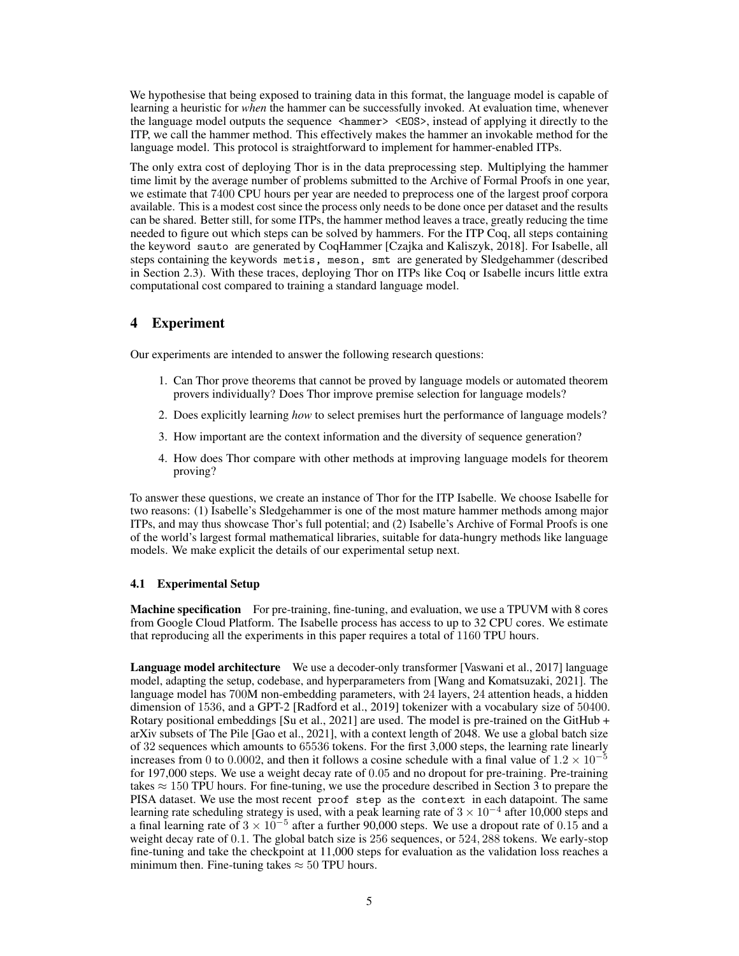We hypothesise that being exposed to training data in this format, the language model is capable of learning a heuristic for *when* the hammer can be successfully invoked. At evaluation time, whenever the language model outputs the sequence  $\langle$ hammer>  $\langle$  EOS>, instead of applying it directly to the ITP, we call the hammer method. This effectively makes the hammer an invokable method for the language model. This protocol is straightforward to implement for hammer-enabled ITPs.

The only extra cost of deploying Thor is in the data preprocessing step. Multiplying the hammer time limit by the average number of problems submitted to the Archive of Formal Proofs in one year, we estimate that 7400 CPU hours per year are needed to preprocess one of the largest proof corpora available. This is a modest cost since the process only needs to be done once per dataset and the results can be shared. Better still, for some ITPs, the hammer method leaves a trace, greatly reducing the time needed to figure out which steps can be solved by hammers. For the ITP Coq, all steps containing the keyword sauto are generated by CoqHammer [\[Czajka and Kaliszyk, 2018\]](#page-9-2). For Isabelle, all steps containing the keywords metis, meson, smt are generated by Sledgehammer (described in Section [2.3\)](#page-2-3). With these traces, deploying Thor on ITPs like Coq or Isabelle incurs little extra computational cost compared to training a standard language model.

## 4 Experiment

Our experiments are intended to answer the following research questions:

- 1. Can Thor prove theorems that cannot be proved by language models or automated theorem provers individually? Does Thor improve premise selection for language models?
- 2. Does explicitly learning *how* to select premises hurt the performance of language models?
- 3. How important are the context information and the diversity of sequence generation?
- 4. How does Thor compare with other methods at improving language models for theorem proving?

To answer these questions, we create an instance of Thor for the ITP Isabelle. We choose Isabelle for two reasons: (1) Isabelle's Sledgehammer is one of the most mature hammer methods among major ITPs, and may thus showcase Thor's full potential; and (2) Isabelle's Archive of Formal Proofs is one of the world's largest formal mathematical libraries, suitable for data-hungry methods like language models. We make explicit the details of our experimental setup next.

#### 4.1 Experimental Setup

Machine specification For pre-training, fine-tuning, and evaluation, we use a TPUVM with 8 cores from [Google Cloud Platform.](https://cloud.google.com/tpu?hl=en) The Isabelle process has access to up to 32 CPU cores. We estimate that reproducing all the experiments in this paper requires a total of 1160 TPU hours.

Language model architecture We use a decoder-only transformer [\[Vaswani et al., 2017\]](#page-11-3) language model, adapting the setup, codebase, and hyperparameters from [\[Wang and Komatsuzaki, 2021\]](#page-11-4). The language model has 700M non-embedding parameters, with 24 layers, 24 attention heads, a hidden dimension of 1536, and a GPT-2 [\[Radford et al., 2019\]](#page-10-11) tokenizer with a vocabulary size of 50400. Rotary positional embeddings [\[Su et al., 2021\]](#page-11-5) are used. The model is pre-trained on the GitHub + arXiv subsets of The Pile [\[Gao et al., 2021\]](#page-9-10), with a context length of 2048. We use a global batch size of 32 sequences which amounts to 65536 tokens. For the first 3,000 steps, the learning rate linearly increases from 0 to 0.0002, and then it follows a cosine schedule with a final value of  $1.2 \times 10^{-5}$ for 197,000 steps. We use a weight decay rate of 0.05 and no dropout for pre-training. Pre-training takes  $\approx 150$  TPU hours. For fine-tuning, we use the procedure described in Section [3](#page-3-2) to prepare the PISA dataset. We use the most recent proof step as the context in each datapoint. The same learning rate scheduling strategy is used, with a peak learning rate of  $3 \times 10^{-4}$  after 10,000 steps and a final learning rate of  $3 \times 10^{-5}$  after a further 90,000 steps. We use a dropout rate of 0.15 and a weight decay rate of 0.1. The global batch size is 256 sequences, or 524, 288 tokens. We early-stop fine-tuning and take the checkpoint at 11,000 steps for evaluation as the validation loss reaches a minimum then. Fine-tuning takes  $\approx 50$  TPU hours.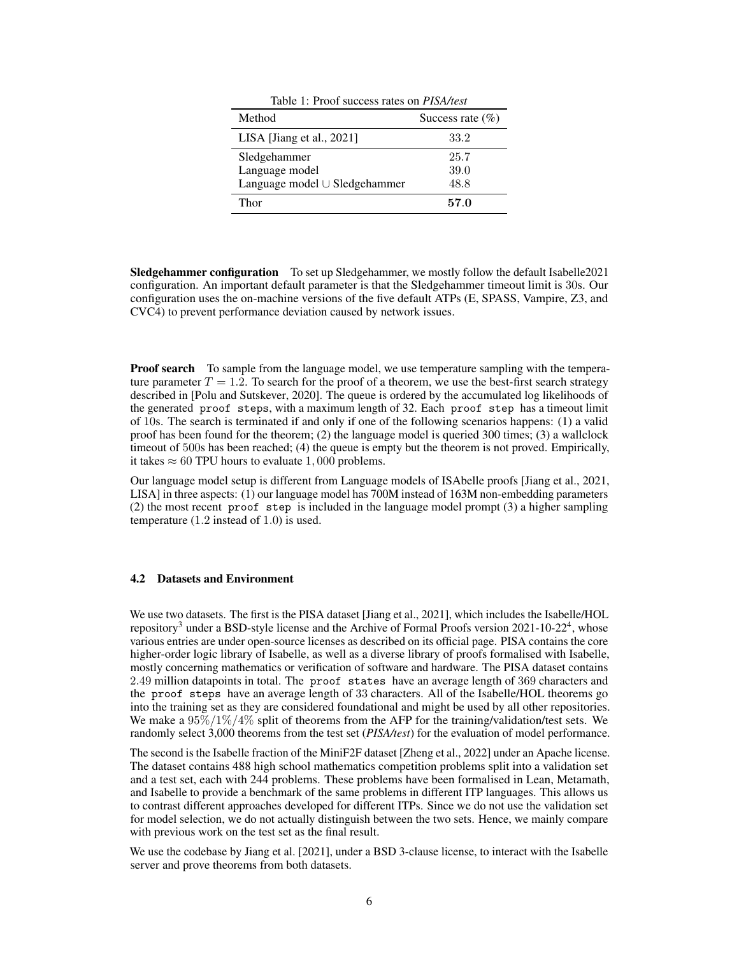<span id="page-5-0"></span>

| Method                        | Success rate $(\%)$ |  |
|-------------------------------|---------------------|--|
| LISA [Jiang et al., 2021]     | 33.2                |  |
| Sledgehammer                  | 25.7                |  |
| Language model                | 39.0                |  |
| Language model ∪ Sledgehammer | 48.8                |  |
| Thor                          | 570                 |  |

Table 1: Proof success rates on *PISA/test*

Sledgehammer configuration To set up Sledgehammer, we mostly follow the default Isabelle2021 configuration. An important default parameter is that the Sledgehammer timeout limit is 30s. Our configuration uses the on-machine versions of the five default ATPs (E, SPASS, Vampire, Z3, and CVC4) to prevent performance deviation caused by network issues.

**Proof search** To sample from the language model, we use temperature sampling with the temperature parameter  $T = 1.2$ . To search for the proof of a theorem, we use the best-first search strategy described in [\[Polu and Sutskever, 2020\]](#page-10-3). The queue is ordered by the accumulated log likelihoods of the generated proof steps, with a maximum length of 32. Each proof step has a timeout limit of 10s. The search is terminated if and only if one of the following scenarios happens: (1) a valid proof has been found for the theorem; (2) the language model is queried 300 times; (3) a wallclock timeout of 500s has been reached; (4) the queue is empty but the theorem is not proved. Empirically, it takes  $\approx 60$  TPU hours to evaluate 1,000 problems.

Our language model setup is different from Language models of ISAbelle proofs [\[Jiang et al., 2021,](#page-10-4) LISA] in three aspects: (1) our language model has 700M instead of 163M non-embedding parameters (2) the most recent proof step is included in the language model prompt (3) a higher sampling temperature (1.2 instead of 1.0) is used.

#### 4.2 Datasets and Environment

We use two datasets. The first is the PISA dataset [\[Jiang et al., 2021\]](#page-10-4), which includes the Isabelle/HOL repository<sup>[3](#page-6-0)</sup> under a [BSD-style license](https://www.cl.cam.ac.uk/research/hvg/Isabelle/dist/Isabelle2021-1/COPYRIGHT) and the Archive of Formal Proofs version 2021-10-22<sup>[4](#page-6-1)</sup>, whose various entries are under open-source licenses as described on its [official page.](https://www.isa-afp.org/about.html) PISA contains the core higher-order logic library of Isabelle, as well as a diverse library of proofs formalised with Isabelle, mostly concerning mathematics or verification of software and hardware. The PISA dataset contains 2.49 million datapoints in total. The proof states have an average length of 369 characters and the proof steps have an average length of 33 characters. All of the Isabelle/HOL theorems go into the training set as they are considered foundational and might be used by all other repositories. We make a  $95\%/1\%/4\%$  split of theorems from the AFP for the training/validation/test sets. We randomly select 3,000 theorems from the test set (*PISA/test*) for the evaluation of model performance.

The second is the Isabelle fraction of the MiniF2F dataset [\[Zheng et al., 2022\]](#page-11-1) under an [Apache license.](https://github.com/openai/miniF2F/blob/main/isabelle/LICENSE) The dataset contains 488 high school mathematics competition problems split into a validation set and a test set, each with 244 problems. These problems have been formalised in Lean, Metamath, and Isabelle to provide a benchmark of the same problems in different ITP languages. This allows us to contrast different approaches developed for different ITPs. Since we do not use the validation set for model selection, we do not actually distinguish between the two sets. Hence, we mainly compare with previous work on the test set as the final result.

We use the codebase by [Jiang et al.](#page-10-4) [\[2021\]](#page-10-4), under a [BSD 3-clause license,](https://github.com/albertqjiang/Portal-to-ISAbelle/blob/main/LICENSE) to interact with the Isabelle server and prove theorems from both datasets.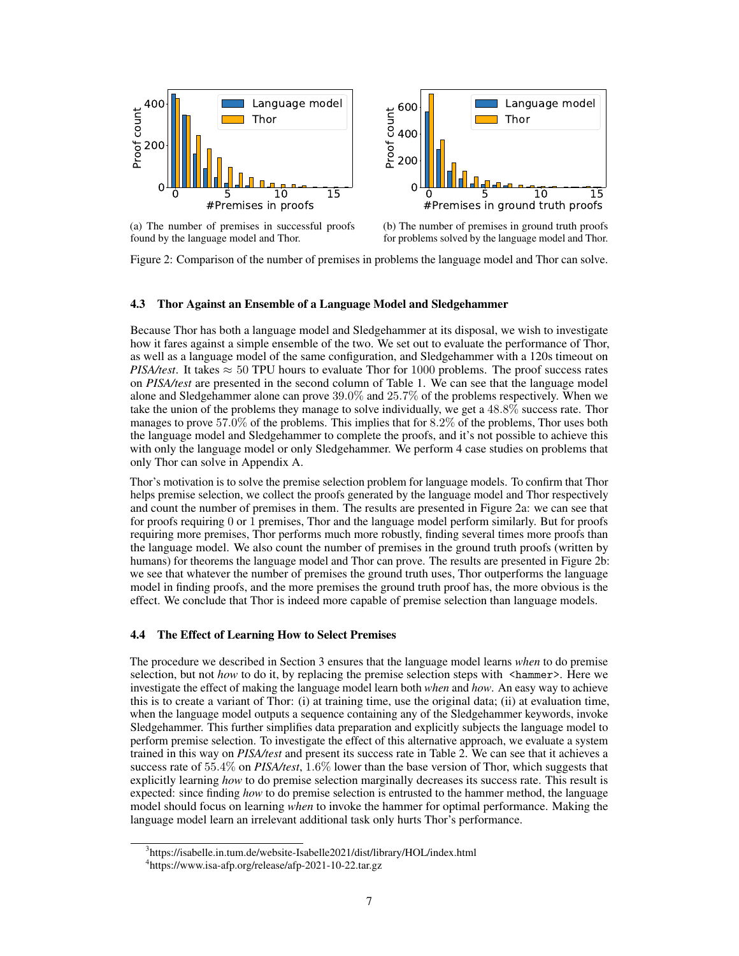<span id="page-6-2"></span>

(a) The number of premises in successful proofs found by the language model and Thor.



Figure 2: Comparison of the number of premises in problems the language model and Thor can solve.

#### 4.3 Thor Against an Ensemble of a Language Model and Sledgehammer

Because Thor has both a language model and Sledgehammer at its disposal, we wish to investigate how it fares against a simple ensemble of the two. We set out to evaluate the performance of Thor, as well as a language model of the same configuration, and Sledgehammer with a 120s timeout on *PISA/test*. It takes  $\approx$  50 TPU hours to evaluate Thor for 1000 problems. The proof success rates on *PISA/test* are presented in the second column of Table [1.](#page-5-0) We can see that the language model alone and Sledgehammer alone can prove 39.0% and 25.7% of the problems respectively. When we take the union of the problems they manage to solve individually, we get a 48.8% success rate. Thor manages to prove 57.0% of the problems. This implies that for 8.2% of the problems, Thor uses both the language model and Sledgehammer to complete the proofs, and it's not possible to achieve this with only the language model or only Sledgehammer. We perform 4 case studies on problems that only Thor can solve in Appendix [A.](#page-12-0)

Thor's motivation is to solve the premise selection problem for language models. To confirm that Thor helps premise selection, we collect the proofs generated by the language model and Thor respectively and count the number of premises in them. The results are presented in Figure [2a:](#page-6-2) we can see that for proofs requiring 0 or 1 premises, Thor and the language model perform similarly. But for proofs requiring more premises, Thor performs much more robustly, finding several times more proofs than the language model. We also count the number of premises in the ground truth proofs (written by humans) for theorems the language model and Thor can prove. The results are presented in Figure [2b:](#page-6-2) we see that whatever the number of premises the ground truth uses, Thor outperforms the language model in finding proofs, and the more premises the ground truth proof has, the more obvious is the effect. We conclude that Thor is indeed more capable of premise selection than language models.

#### 4.4 The Effect of Learning How to Select Premises

The procedure we described in Section [3](#page-3-2) ensures that the language model learns *when* to do premise selection, but not *how* to do it, by replacing the premise selection steps with <hammer>. Here we investigate the effect of making the language model learn both *when* and *how*. An easy way to achieve this is to create a variant of Thor: (i) at training time, use the original data; (ii) at evaluation time, when the language model outputs a sequence containing any of the Sledgehammer keywords, invoke Sledgehammer. This further simplifies data preparation and explicitly subjects the language model to perform premise selection. To investigate the effect of this alternative approach, we evaluate a system trained in this way on *PISA/test* and present its success rate in Table [2.](#page-7-0) We can see that it achieves a success rate of 55.4% on *PISA/test*, 1.6% lower than the base version of Thor, which suggests that explicitly learning *how* to do premise selection marginally decreases its success rate. This result is expected: since finding *how* to do premise selection is entrusted to the hammer method, the language model should focus on learning *when* to invoke the hammer for optimal performance. Making the language model learn an irrelevant additional task only hurts Thor's performance.

<span id="page-6-0"></span><sup>&</sup>lt;sup>3</sup><https://isabelle.in.tum.de/website-Isabelle2021/dist/library/HOL/index.html>

<span id="page-6-1"></span><sup>4</sup> <https://www.isa-afp.org/release/afp-2021-10-22.tar.gz>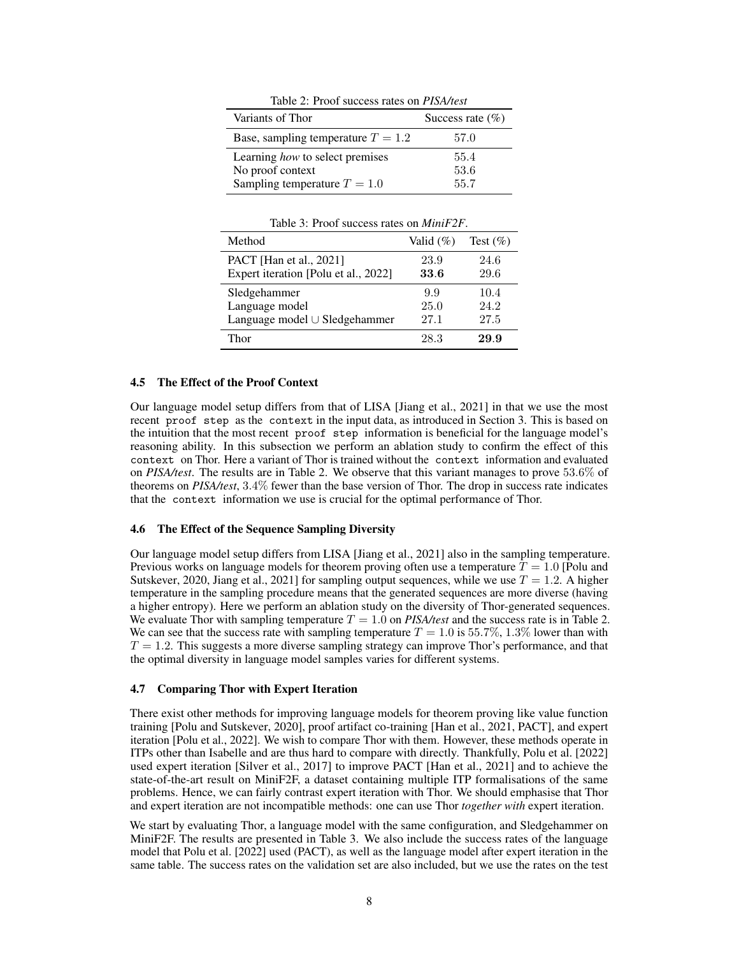Table 2: Proof success rates on *PISA/test*

<span id="page-7-0"></span>

| Variants of Thor                     | Success rate $(\% )$ |  |
|--------------------------------------|----------------------|--|
| Base, sampling temperature $T = 1.2$ | 57.0                 |  |
| Learning how to select premises      | 55.4                 |  |
| No proof context                     | 53.6                 |  |
| Sampling temperature $T = 1.0$       | 55.7                 |  |

Table 3: Proof success rates on *MiniF2F*.

<span id="page-7-1"></span>

| Method                               | Valid $(\%)$ | Test $(\% )$ |
|--------------------------------------|--------------|--------------|
| <b>PACT</b> [Han et al., 2021]       | 23.9         | 24.6         |
| Expert iteration [Polu et al., 2022] | 33.6         | 29.6         |
| Sledgehammer                         | 9.9          | 10.4         |
| Language model                       | 25.0         | 24.2         |
| Language model ∪ Sledgehammer        | 27.1         | 27.5         |
| Thor                                 | 28.3         | 29.9         |

#### 4.5 The Effect of the Proof Context

Our language model setup differs from that of LISA [\[Jiang et al., 2021\]](#page-10-4) in that we use the most recent proof step as the context in the input data, as introduced in Section [3.](#page-3-2) This is based on the intuition that the most recent proof step information is beneficial for the language model's reasoning ability. In this subsection we perform an ablation study to confirm the effect of this context on Thor. Here a variant of Thor is trained without the context information and evaluated on *PISA/test*. The results are in Table [2.](#page-7-0) We observe that this variant manages to prove 53.6% of theorems on *PISA/test*, 3.4% fewer than the base version of Thor. The drop in success rate indicates that the context information we use is crucial for the optimal performance of Thor.

#### 4.6 The Effect of the Sequence Sampling Diversity

Our language model setup differs from LISA [\[Jiang et al., 2021\]](#page-10-4) also in the sampling temperature. Previous works on language models for theorem proving often use a temperature  $T = 1.0$  [\[Polu and](#page-10-3) [Sutskever, 2020,](#page-10-3) [Jiang et al., 2021\]](#page-10-4) for sampling output sequences, while we use  $T = 1.2$ . A higher temperature in the sampling procedure means that the generated sequences are more diverse (having a higher entropy). Here we perform an ablation study on the diversity of Thor-generated sequences. We evaluate Thor with sampling temperature  $T = 1.0$  on *PISA/test* and the success rate is in Table [2.](#page-7-0) We can see that the success rate with sampling temperature  $T = 1.0$  is 55.7%, 1.3% lower than with  $T = 1.2$ . This suggests a more diverse sampling strategy can improve Thor's performance, and that the optimal diversity in language model samples varies for different systems.

## 4.7 Comparing Thor with Expert Iteration

There exist other methods for improving language models for theorem proving like value function training [\[Polu and Sutskever, 2020\]](#page-10-3), proof artifact co-training [\[Han et al., 2021,](#page-9-3) PACT], and expert iteration [\[Polu et al., 2022\]](#page-10-5). We wish to compare Thor with them. However, these methods operate in ITPs other than Isabelle and are thus hard to compare with directly. Thankfully, [Polu et al.](#page-10-5) [\[2022\]](#page-10-5) used expert iteration [\[Silver et al., 2017\]](#page-10-12) to improve PACT [\[Han et al., 2021\]](#page-9-3) and to achieve the state-of-the-art result on MiniF2F, a dataset containing multiple ITP formalisations of the same problems. Hence, we can fairly contrast expert iteration with Thor. We should emphasise that Thor and expert iteration are not incompatible methods: one can use Thor *together with* expert iteration.

We start by evaluating Thor, a language model with the same configuration, and Sledgehammer on MiniF2F. The results are presented in Table [3.](#page-7-1) We also include the success rates of the language model that [Polu et al.](#page-10-5) [\[2022\]](#page-10-5) used (PACT), as well as the language model after expert iteration in the same table. The success rates on the validation set are also included, but we use the rates on the test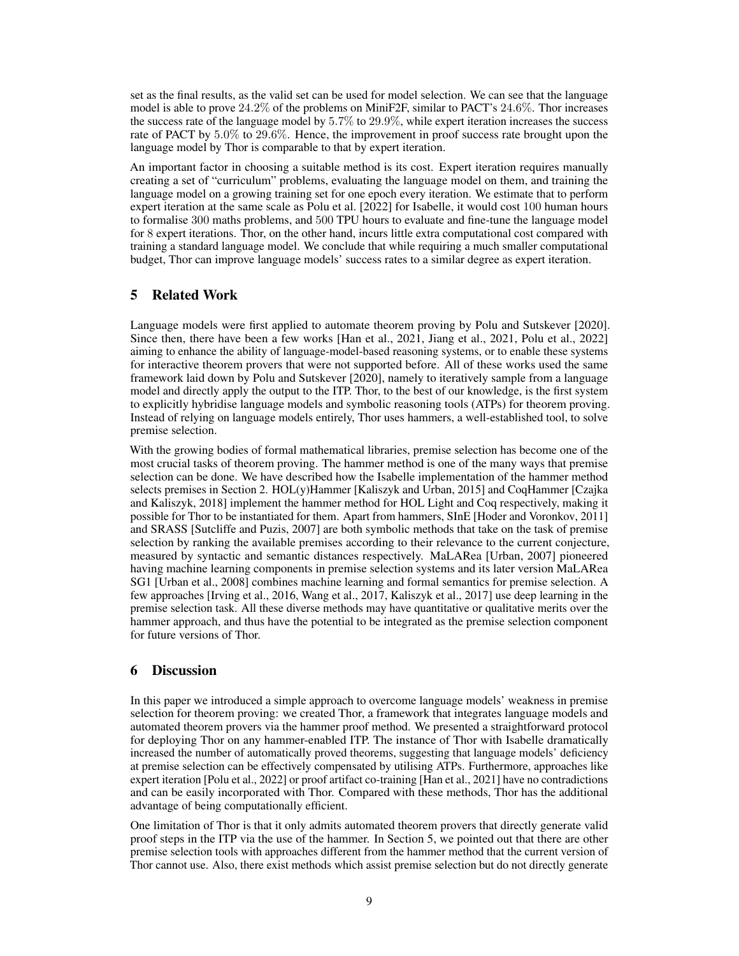set as the final results, as the valid set can be used for model selection. We can see that the language model is able to prove  $24.2\%$  of the problems on MiniF2F, similar to PACT's  $24.6\%$ . Thor increases the success rate of the language model by  $5.7\%$  to  $29.9\%$ , while expert iteration increases the success rate of PACT by 5.0% to 29.6%. Hence, the improvement in proof success rate brought upon the language model by Thor is comparable to that by expert iteration.

An important factor in choosing a suitable method is its cost. Expert iteration requires manually creating a set of "curriculum" problems, evaluating the language model on them, and training the language model on a growing training set for one epoch every iteration. We estimate that to perform expert iteration at the same scale as [Polu et al.](#page-10-5) [\[2022\]](#page-10-5) for Isabelle, it would cost 100 human hours to formalise 300 maths problems, and 500 TPU hours to evaluate and fine-tune the language model for 8 expert iterations. Thor, on the other hand, incurs little extra computational cost compared with training a standard language model. We conclude that while requiring a much smaller computational budget, Thor can improve language models' success rates to a similar degree as expert iteration.

# <span id="page-8-0"></span>5 Related Work

Language models were first applied to automate theorem proving by [Polu and Sutskever](#page-10-3) [\[2020\]](#page-10-3). Since then, there have been a few works [\[Han et al., 2021,](#page-9-3) [Jiang et al., 2021,](#page-10-4) [Polu et al., 2022\]](#page-10-5) aiming to enhance the ability of language-model-based reasoning systems, or to enable these systems for interactive theorem provers that were not supported before. All of these works used the same framework laid down by [Polu and Sutskever](#page-10-3) [\[2020\]](#page-10-3), namely to iteratively sample from a language model and directly apply the output to the ITP. Thor, to the best of our knowledge, is the first system to explicitly hybridise language models and symbolic reasoning tools (ATPs) for theorem proving. Instead of relying on language models entirely, Thor uses hammers, a well-established tool, to solve premise selection.

With the growing bodies of formal mathematical libraries, premise selection has become one of the most crucial tasks of theorem proving. The hammer method is one of the many ways that premise selection can be done. We have described how the Isabelle implementation of the hammer method selects premises in Section [2.](#page-1-0) HOL(y)Hammer [\[Kaliszyk and Urban, 2015\]](#page-10-2) and CoqHammer [\[Czajka](#page-9-2) [and Kaliszyk, 2018\]](#page-9-2) implement the hammer method for HOL Light and Coq respectively, making it possible for Thor to be instantiated for them. Apart from hammers, SInE [\[Hoder and Voronkov, 2011\]](#page-9-11) and SRASS [\[Sutcliffe and Puzis, 2007\]](#page-11-6) are both symbolic methods that take on the task of premise selection by ranking the available premises according to their relevance to the current conjecture, measured by syntactic and semantic distances respectively. MaLARea [\[Urban, 2007\]](#page-11-7) pioneered having machine learning components in premise selection systems and its later version MaLARea SG1 [\[Urban et al., 2008\]](#page-11-8) combines machine learning and formal semantics for premise selection. A few approaches [\[Irving et al., 2016,](#page-9-12) [Wang et al., 2017,](#page-11-9) [Kaliszyk et al., 2017\]](#page-10-13) use deep learning in the premise selection task. All these diverse methods may have quantitative or qualitative merits over the hammer approach, and thus have the potential to be integrated as the premise selection component for future versions of Thor.

# 6 Discussion

In this paper we introduced a simple approach to overcome language models' weakness in premise selection for theorem proving: we created Thor, a framework that integrates language models and automated theorem provers via the hammer proof method. We presented a straightforward protocol for deploying Thor on any hammer-enabled ITP. The instance of Thor with Isabelle dramatically increased the number of automatically proved theorems, suggesting that language models' deficiency at premise selection can be effectively compensated by utilising ATPs. Furthermore, approaches like expert iteration [\[Polu et al., 2022\]](#page-10-5) or proof artifact co-training [\[Han et al., 2021\]](#page-9-3) have no contradictions and can be easily incorporated with Thor. Compared with these methods, Thor has the additional advantage of being computationally efficient.

One limitation of Thor is that it only admits automated theorem provers that directly generate valid proof steps in the ITP via the use of the hammer. In Section [5,](#page-8-0) we pointed out that there are other premise selection tools with approaches different from the hammer method that the current version of Thor cannot use. Also, there exist methods which assist premise selection but do not directly generate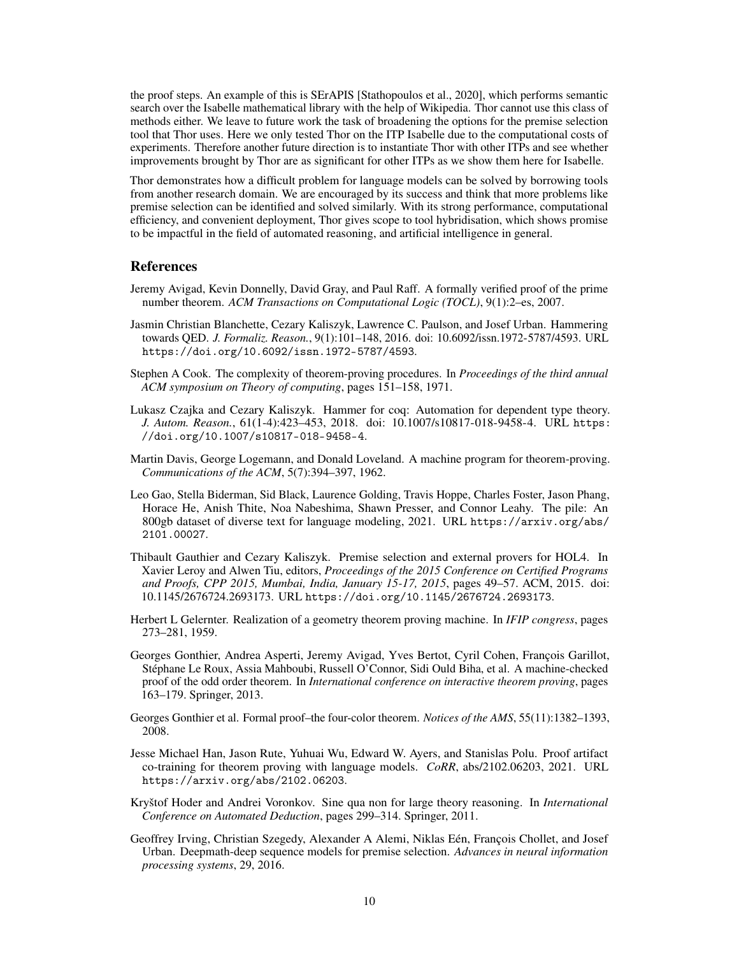the proof steps. An example of this is SErAPIS [\[Stathopoulos et al., 2020\]](#page-10-14), which performs semantic search over the Isabelle mathematical library with the help of Wikipedia. Thor cannot use this class of methods either. We leave to future work the task of broadening the options for the premise selection tool that Thor uses. Here we only tested Thor on the ITP Isabelle due to the computational costs of experiments. Therefore another future direction is to instantiate Thor with other ITPs and see whether improvements brought by Thor are as significant for other ITPs as we show them here for Isabelle.

Thor demonstrates how a difficult problem for language models can be solved by borrowing tools from another research domain. We are encouraged by its success and think that more problems like premise selection can be identified and solved similarly. With its strong performance, computational efficiency, and convenient deployment, Thor gives scope to tool hybridisation, which shows promise to be impactful in the field of automated reasoning, and artificial intelligence in general.

## References

- <span id="page-9-8"></span>Jeremy Avigad, Kevin Donnelly, David Gray, and Paul Raff. A formally verified proof of the prime number theorem. *ACM Transactions on Computational Logic (TOCL)*, 9(1):2–es, 2007.
- <span id="page-9-0"></span>Jasmin Christian Blanchette, Cezary Kaliszyk, Lawrence C. Paulson, and Josef Urban. Hammering towards QED. *J. Formaliz. Reason.*, 9(1):101–148, 2016. doi: 10.6092/issn.1972-5787/4593. URL <https://doi.org/10.6092/issn.1972-5787/4593>.
- <span id="page-9-6"></span>Stephen A Cook. The complexity of theorem-proving procedures. In *Proceedings of the third annual ACM symposium on Theory of computing*, pages 151–158, 1971.
- <span id="page-9-2"></span>Lukasz Czajka and Cezary Kaliszyk. Hammer for coq: Automation for dependent type theory. *J. Autom. Reason.*, 61(1-4):423–453, 2018. doi: 10.1007/s10817-018-9458-4. URL [https:](https://doi.org/10.1007/s10817-018-9458-4) [//doi.org/10.1007/s10817-018-9458-4](https://doi.org/10.1007/s10817-018-9458-4).
- <span id="page-9-5"></span>Martin Davis, George Logemann, and Donald Loveland. A machine program for theorem-proving. *Communications of the ACM*, 5(7):394–397, 1962.
- <span id="page-9-10"></span>Leo Gao, Stella Biderman, Sid Black, Laurence Golding, Travis Hoppe, Charles Foster, Jason Phang, Horace He, Anish Thite, Noa Nabeshima, Shawn Presser, and Connor Leahy. The pile: An 800gb dataset of diverse text for language modeling, 2021. URL [https://arxiv.org/abs/](https://arxiv.org/abs/2101.00027) [2101.00027](https://arxiv.org/abs/2101.00027).
- <span id="page-9-1"></span>Thibault Gauthier and Cezary Kaliszyk. Premise selection and external provers for HOL4. In Xavier Leroy and Alwen Tiu, editors, *Proceedings of the 2015 Conference on Certified Programs and Proofs, CPP 2015, Mumbai, India, January 15-17, 2015*, pages 49–57. ACM, 2015. doi: 10.1145/2676724.2693173. URL <https://doi.org/10.1145/2676724.2693173>.
- <span id="page-9-4"></span>Herbert L Gelernter. Realization of a geometry theorem proving machine. In *IFIP congress*, pages 273–281, 1959.
- <span id="page-9-9"></span>Georges Gonthier, Andrea Asperti, Jeremy Avigad, Yves Bertot, Cyril Cohen, François Garillot, Stéphane Le Roux, Assia Mahboubi, Russell O'Connor, Sidi Ould Biha, et al. A machine-checked proof of the odd order theorem. In *International conference on interactive theorem proving*, pages 163–179. Springer, 2013.
- <span id="page-9-7"></span>Georges Gonthier et al. Formal proof–the four-color theorem. *Notices of the AMS*, 55(11):1382–1393, 2008.
- <span id="page-9-3"></span>Jesse Michael Han, Jason Rute, Yuhuai Wu, Edward W. Ayers, and Stanislas Polu. Proof artifact co-training for theorem proving with language models. *CoRR*, abs/2102.06203, 2021. URL <https://arxiv.org/abs/2102.06203>.
- <span id="page-9-11"></span>Kryštof Hoder and Andrei Voronkov. Sine qua non for large theory reasoning. In *International Conference on Automated Deduction*, pages 299–314. Springer, 2011.
- <span id="page-9-12"></span>Geoffrey Irving, Christian Szegedy, Alexander A Alemi, Niklas Eén, François Chollet, and Josef Urban. Deepmath-deep sequence models for premise selection. *Advances in neural information processing systems*, 29, 2016.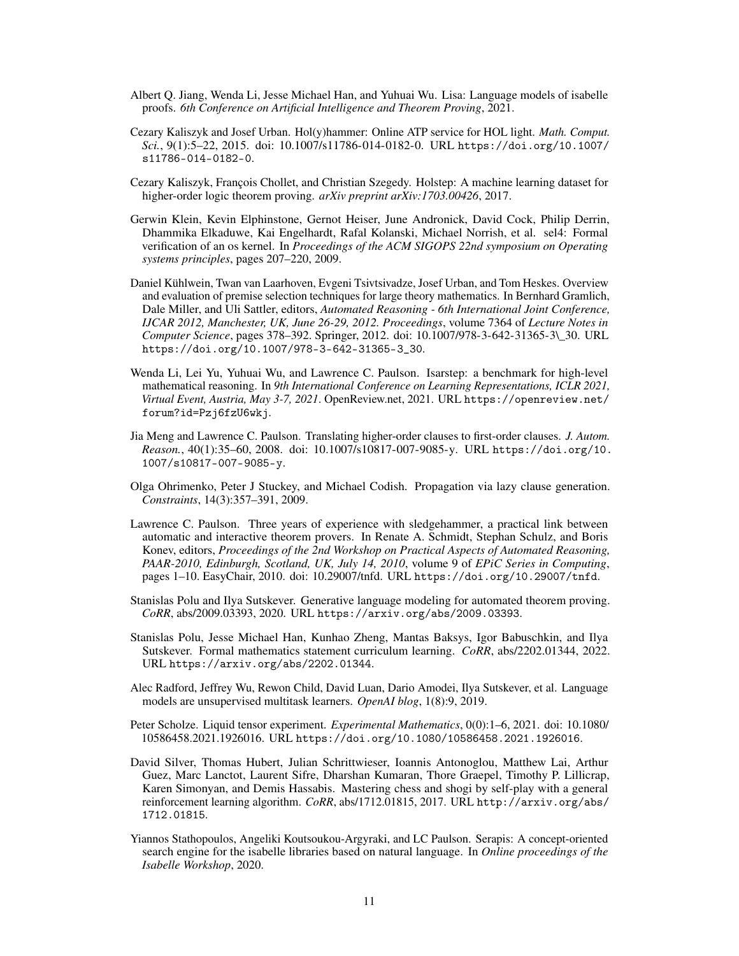- <span id="page-10-4"></span>Albert Q. Jiang, Wenda Li, Jesse Michael Han, and Yuhuai Wu. Lisa: Language models of isabelle proofs. *6th Conference on Artificial Intelligence and Theorem Proving*, 2021.
- <span id="page-10-2"></span>Cezary Kaliszyk and Josef Urban. Hol(y)hammer: Online ATP service for HOL light. *Math. Comput. Sci.*, 9(1):5–22, 2015. doi: 10.1007/s11786-014-0182-0. URL [https://doi.org/10.1007/](https://doi.org/10.1007/s11786-014-0182-0) [s11786-014-0182-0](https://doi.org/10.1007/s11786-014-0182-0).
- <span id="page-10-13"></span>Cezary Kaliszyk, François Chollet, and Christian Szegedy. Holstep: A machine learning dataset for higher-order logic theorem proving. *arXiv preprint arXiv:1703.00426*, 2017.
- <span id="page-10-8"></span>Gerwin Klein, Kevin Elphinstone, Gernot Heiser, June Andronick, David Cock, Philip Derrin, Dhammika Elkaduwe, Kai Engelhardt, Rafal Kolanski, Michael Norrish, et al. sel4: Formal verification of an os kernel. In *Proceedings of the ACM SIGOPS 22nd symposium on Operating systems principles*, pages 207–220, 2009.
- <span id="page-10-0"></span>Daniel Kühlwein, Twan van Laarhoven, Evgeni Tsivtsivadze, Josef Urban, and Tom Heskes. Overview and evaluation of premise selection techniques for large theory mathematics. In Bernhard Gramlich, Dale Miller, and Uli Sattler, editors, *Automated Reasoning - 6th International Joint Conference, IJCAR 2012, Manchester, UK, June 26-29, 2012. Proceedings*, volume 7364 of *Lecture Notes in Computer Science*, pages 378–392. Springer, 2012. doi: 10.1007/978-3-642-31365-3\\_30. URL [https://doi.org/10.1007/978-3-642-31365-3\\_30](https://doi.org/10.1007/978-3-642-31365-3_30).
- <span id="page-10-10"></span>Wenda Li, Lei Yu, Yuhuai Wu, and Lawrence C. Paulson. Isarstep: a benchmark for high-level mathematical reasoning. In *9th International Conference on Learning Representations, ICLR 2021, Virtual Event, Austria, May 3-7, 2021*. OpenReview.net, 2021. URL [https://openreview.net/](https://openreview.net/forum?id=Pzj6fzU6wkj) [forum?id=Pzj6fzU6wkj](https://openreview.net/forum?id=Pzj6fzU6wkj).
- <span id="page-10-9"></span>Jia Meng and Lawrence C. Paulson. Translating higher-order clauses to first-order clauses. *J. Autom. Reason.*, 40(1):35–60, 2008. doi: 10.1007/s10817-007-9085-y. URL [https://doi.org/10.](https://doi.org/10.1007/s10817-007-9085-y) [1007/s10817-007-9085-y](https://doi.org/10.1007/s10817-007-9085-y).
- <span id="page-10-6"></span>Olga Ohrimenko, Peter J Stuckey, and Michael Codish. Propagation via lazy clause generation. *Constraints*, 14(3):357–391, 2009.
- <span id="page-10-1"></span>Lawrence C. Paulson. Three years of experience with sledgehammer, a practical link between automatic and interactive theorem provers. In Renate A. Schmidt, Stephan Schulz, and Boris Konev, editors, *Proceedings of the 2nd Workshop on Practical Aspects of Automated Reasoning, PAAR-2010, Edinburgh, Scotland, UK, July 14, 2010*, volume 9 of *EPiC Series in Computing*, pages 1–10. EasyChair, 2010. doi: 10.29007/tnfd. URL <https://doi.org/10.29007/tnfd>.
- <span id="page-10-3"></span>Stanislas Polu and Ilya Sutskever. Generative language modeling for automated theorem proving. *CoRR*, abs/2009.03393, 2020. URL <https://arxiv.org/abs/2009.03393>.
- <span id="page-10-5"></span>Stanislas Polu, Jesse Michael Han, Kunhao Zheng, Mantas Baksys, Igor Babuschkin, and Ilya Sutskever. Formal mathematics statement curriculum learning. *CoRR*, abs/2202.01344, 2022. URL <https://arxiv.org/abs/2202.01344>.
- <span id="page-10-11"></span>Alec Radford, Jeffrey Wu, Rewon Child, David Luan, Dario Amodei, Ilya Sutskever, et al. Language models are unsupervised multitask learners. *OpenAI blog*, 1(8):9, 2019.
- <span id="page-10-7"></span>Peter Scholze. Liquid tensor experiment. *Experimental Mathematics*, 0(0):1–6, 2021. doi: 10.1080/ 10586458.2021.1926016. URL <https://doi.org/10.1080/10586458.2021.1926016>.
- <span id="page-10-12"></span>David Silver, Thomas Hubert, Julian Schrittwieser, Ioannis Antonoglou, Matthew Lai, Arthur Guez, Marc Lanctot, Laurent Sifre, Dharshan Kumaran, Thore Graepel, Timothy P. Lillicrap, Karen Simonyan, and Demis Hassabis. Mastering chess and shogi by self-play with a general reinforcement learning algorithm. *CoRR*, abs/1712.01815, 2017. URL [http://arxiv.org/abs/](http://arxiv.org/abs/1712.01815) [1712.01815](http://arxiv.org/abs/1712.01815).
- <span id="page-10-14"></span>Yiannos Stathopoulos, Angeliki Koutsoukou-Argyraki, and LC Paulson. Serapis: A concept-oriented search engine for the isabelle libraries based on natural language. In *Online proceedings of the Isabelle Workshop*, 2020.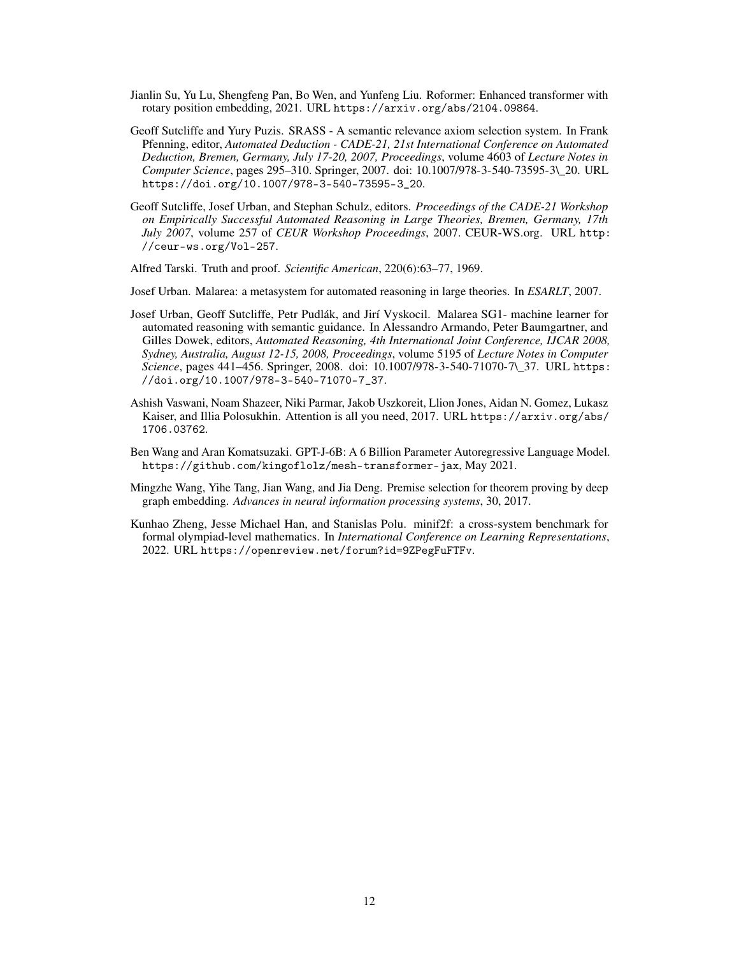- <span id="page-11-5"></span>Jianlin Su, Yu Lu, Shengfeng Pan, Bo Wen, and Yunfeng Liu. Roformer: Enhanced transformer with rotary position embedding, 2021. URL <https://arxiv.org/abs/2104.09864>.
- <span id="page-11-6"></span>Geoff Sutcliffe and Yury Puzis. SRASS - A semantic relevance axiom selection system. In Frank Pfenning, editor, *Automated Deduction - CADE-21, 21st International Conference on Automated Deduction, Bremen, Germany, July 17-20, 2007, Proceedings*, volume 4603 of *Lecture Notes in Computer Science*, pages 295–310. Springer, 2007. doi: 10.1007/978-3-540-73595-3\\_20. URL [https://doi.org/10.1007/978-3-540-73595-3\\_20](https://doi.org/10.1007/978-3-540-73595-3_20).
- <span id="page-11-0"></span>Geoff Sutcliffe, Josef Urban, and Stephan Schulz, editors. *Proceedings of the CADE-21 Workshop on Empirically Successful Automated Reasoning in Large Theories, Bremen, Germany, 17th July 2007*, volume 257 of *CEUR Workshop Proceedings*, 2007. CEUR-WS.org. URL [http:](http://ceur-ws.org/Vol-257) [//ceur-ws.org/Vol-257](http://ceur-ws.org/Vol-257).

<span id="page-11-2"></span>Alfred Tarski. Truth and proof. *Scientific American*, 220(6):63–77, 1969.

<span id="page-11-7"></span>Josef Urban. Malarea: a metasystem for automated reasoning in large theories. In *ESARLT*, 2007.

- <span id="page-11-8"></span>Josef Urban, Geoff Sutcliffe, Petr Pudlák, and Jirí Vyskocil. Malarea SG1- machine learner for automated reasoning with semantic guidance. In Alessandro Armando, Peter Baumgartner, and Gilles Dowek, editors, *Automated Reasoning, 4th International Joint Conference, IJCAR 2008, Sydney, Australia, August 12-15, 2008, Proceedings*, volume 5195 of *Lecture Notes in Computer Science*, pages 441–456. Springer, 2008. doi: 10.1007/978-3-540-71070-7\\_37. URL [https:](https://doi.org/10.1007/978-3-540-71070-7_37) [//doi.org/10.1007/978-3-540-71070-7\\_37](https://doi.org/10.1007/978-3-540-71070-7_37).
- <span id="page-11-3"></span>Ashish Vaswani, Noam Shazeer, Niki Parmar, Jakob Uszkoreit, Llion Jones, Aidan N. Gomez, Lukasz Kaiser, and Illia Polosukhin. Attention is all you need, 2017. URL [https://arxiv.org/abs/](https://arxiv.org/abs/1706.03762) [1706.03762](https://arxiv.org/abs/1706.03762).
- <span id="page-11-4"></span>Ben Wang and Aran Komatsuzaki. GPT-J-6B: A 6 Billion Parameter Autoregressive Language Model. <https://github.com/kingoflolz/mesh-transformer-jax>, May 2021.
- <span id="page-11-9"></span>Mingzhe Wang, Yihe Tang, Jian Wang, and Jia Deng. Premise selection for theorem proving by deep graph embedding. *Advances in neural information processing systems*, 30, 2017.
- <span id="page-11-1"></span>Kunhao Zheng, Jesse Michael Han, and Stanislas Polu. minif2f: a cross-system benchmark for formal olympiad-level mathematics. In *International Conference on Learning Representations*, 2022. URL <https://openreview.net/forum?id=9ZPegFuFTFv>.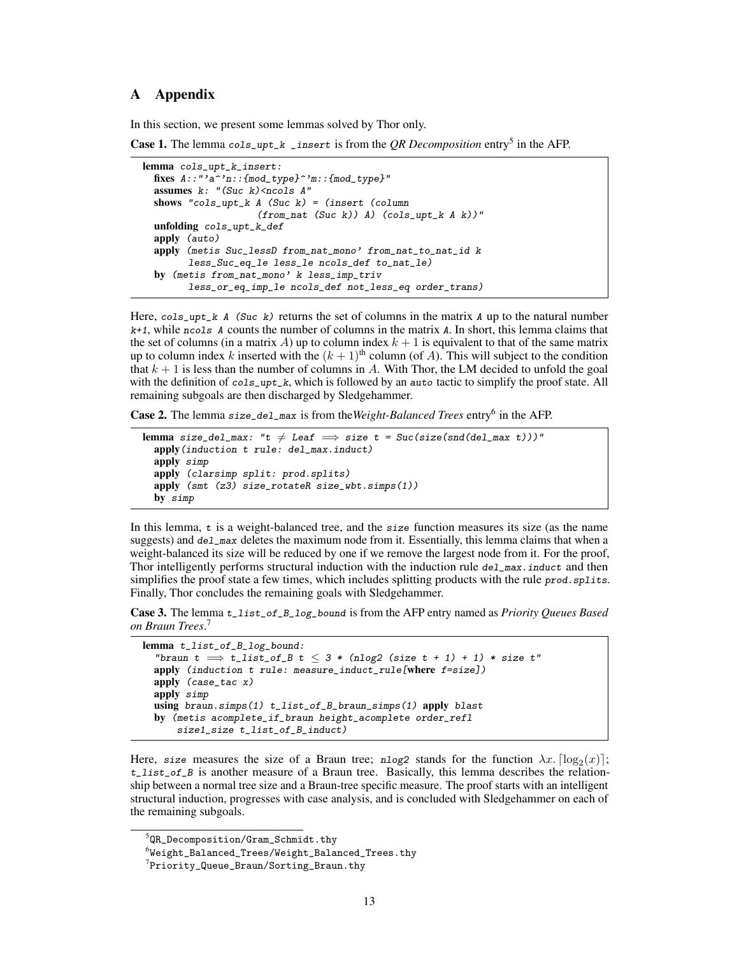# <span id="page-12-0"></span>A Appendix

In this section, we present some lemmas solved by Thor only.

Case 1. The lemma cols\_upt\_k \_insert is from the *QR Decomposition* entry<sup>[5](#page-12-1)</sup> in the AFP.

```
lemma cols_upt_k_insert:
 fixes A::"'a^'n::{mod_type}^'m::{mod_type}"
 assumes k: "(Suc k) \leq hcols A"
 shows "cols_upt_k A (Suc k) = (insert (column
                    (from_nat (Suc k) A) (cols_npt_k A k)"
  unfolding cols_upt_k_def
 apply (auto)
 apply (metis Suc_lessD from_nat_mono' from_nat_to_nat_id k
        less_Suc_eq_le less_le ncols_def to_nat_le)
 by (metis from_nat_mono' k less_imp_triv
        less_or_eq_imp_le ncols_def not_less_eq order_trans)
```
Here,  $cols_{\text{up}}t_k$  A (Suc k) returns the set of columns in the matrix A up to the natural number  $k+1$ , while ncols A counts the number of columns in the matrix A. In short, this lemma claims that the set of columns (in a matrix A) up to column index  $k + 1$  is equivalent to that of the same matrix up to column index k inserted with the  $(k + 1)$ <sup>th</sup> column (of A). This will subject to the condition that  $k + 1$  is less than the number of columns in A. With Thor, the LM decided to unfold the goal with the definition of cols\_upt\_k, which is followed by an auto tactic to simplify the proof state. All remaining subgoals are then discharged by Sledgehammer.

Case 2. The lemma size\_del\_max is from the Weight-Balanced Trees entry<sup>[6](#page-12-2)</sup> in the AFP.

```
lemma size_del_max: "t \neq Leaf \implies size t = Suc(size(snd(del_max t)))"
  apply(induction t rule: del_max.induct)
  apply simp
  apply (clarsimp split: prod.splits)
  apply (smt (z3) size_rotateR size_wbt.simps(1))
  by simp
```
In this lemma,  $t$  is a weight-balanced tree, and the  $size$  function measures its size (as the name suggests) and del\_max deletes the maximum node from it. Essentially, this lemma claims that when a weight-balanced its size will be reduced by one if we remove the largest node from it. For the proof, Thor intelligently performs structural induction with the induction rule  $de1_{max}$ . induct and then simplifies the proof state a few times, which includes splitting products with the rule prod. splits. Finally, Thor concludes the remaining goals with Sledgehammer.

Case 3. The lemma t\_list\_of\_B\_log\_bound is from the AFP entry named as *Priority Queues Based on Braun Trees*. [7](#page-12-3)

```
lemma t_list_of_B_log_bound:
  "braun t \implies t_list_of_B t \leq 3 * (nlog2 (size t + 1) + 1) * size t"
  apply (induction t rule: measure_induct_rule[where f=size])
 apply (case_tac x)
 apply simp
 using braun.simps(1) t_list_of_B_braun_simps(1) apply blast
 by (metis acomplete_if_braun height_acomplete order_refl
      size1_size t_list_of_B_induct)
```
Here, size measures the size of a Braun tree; nlog2 stands for the function  $\lambda x$ .  $\lceil \log_2(x) \rceil$ ;  $t$ <sub>L</sub>list<sub>r</sub> of B is another measure of a Braun tree. Basically, this lemma describes the relationship between a normal tree size and a Braun-tree specific measure. The proof starts with an intelligent structural induction, progresses with case analysis, and is concluded with Sledgehammer on each of the remaining subgoals.

<span id="page-12-1"></span> $^5$ [QR\\_Decomposition/Gram\\_Schmidt.thy](QR_Decomposition/Gram_Schmidt.thy)

<span id="page-12-2"></span> $^6$ [Weight\\_Balanced\\_Trees/Weight\\_Balanced\\_Trees.thy](Weight_Balanced_Trees/Weight_Balanced_Trees.thy)

<span id="page-12-3"></span> ${\rm \texttt{?Priority\_Queue\_Braun/Sorting\_Braun.thy}}$